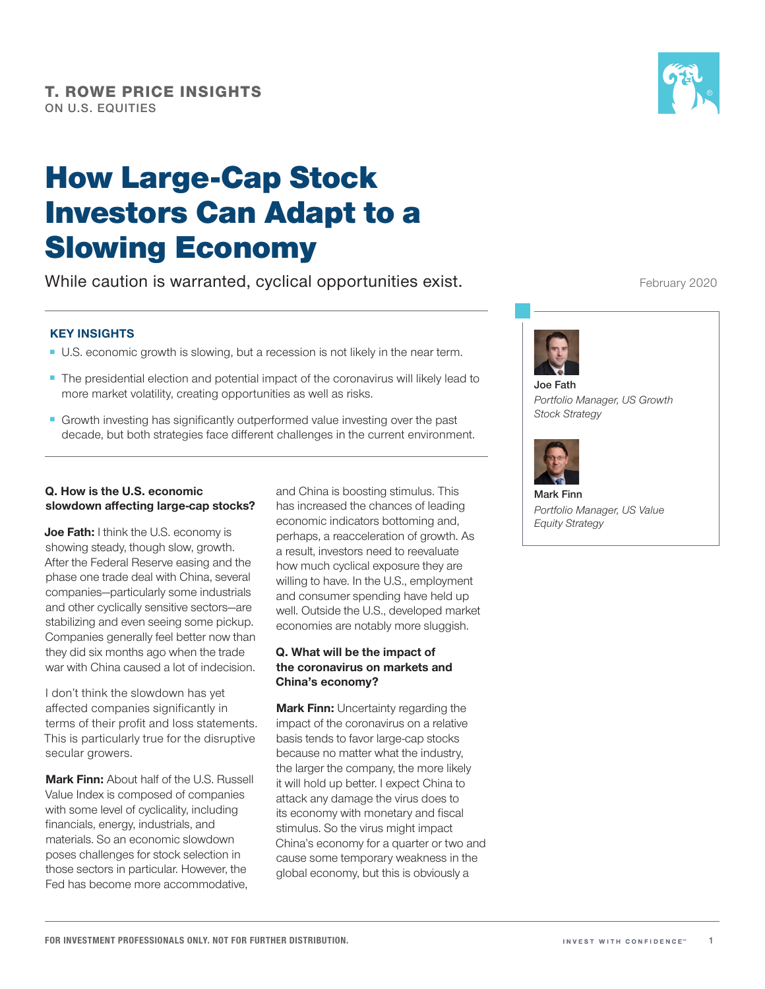# How Large‑Cap Stock Investors Can Adapt to a Slowing Economy

While caution is warranted, cyclical opportunities exist.

#### **KEY INSIGHTS**

- U.S. economic growth is slowing, but a recession is not likely in the near term.
- The presidential election and potential impact of the coronavirus will likely lead to more market volatility, creating opportunities as well as risks.
- Growth investing has significantly outperformed value investing over the past decade, but both strategies face different challenges in the current environment.

#### **Q. How is the U.S. economic slowdown affecting large‑cap stocks?**

**Joe Fath:** I think the U.S. economy is showing steady, though slow, growth. After the Federal Reserve easing and the phase one trade deal with China, several companies—particularly some industrials and other cyclically sensitive sectors—are stabilizing and even seeing some pickup. Companies generally feel better now than they did six months ago when the trade war with China caused a lot of indecision.

I don't think the slowdown has yet affected companies significantly in terms of their profit and loss statements. This is particularly true for the disruptive secular growers.

**Mark Finn:** About half of the U.S. Russell Value Index is composed of companies with some level of cyclicality, including financials, energy, industrials, and materials. So an economic slowdown poses challenges for stock selection in those sectors in particular. However, the Fed has become more accommodative,

and China is boosting stimulus. This has increased the chances of leading economic indicators bottoming and, perhaps, a reacceleration of growth. As a result, investors need to reevaluate how much cyclical exposure they are willing to have. In the U.S., employment and consumer spending have held up well. Outside the U.S., developed market economies are notably more sluggish.

#### **Q. What will be the impact of the coronavirus on markets and China's economy?**

**Mark Finn:** Uncertainty regarding the impact of the coronavirus on a relative basis tends to favor large-cap stocks because no matter what the industry, the larger the company, the more likely it will hold up better. I expect China to attack any damage the virus does to its economy with monetary and fiscal stimulus. So the virus might impact China's economy for a quarter or two and cause some temporary weakness in the global economy, but this is obviously a

February 2020



**Joe Fath** *Portfolio Manager, US Growth Stock Strategy*



**Mark Finn** *Portfolio Manager, US Value Equity Strategy*

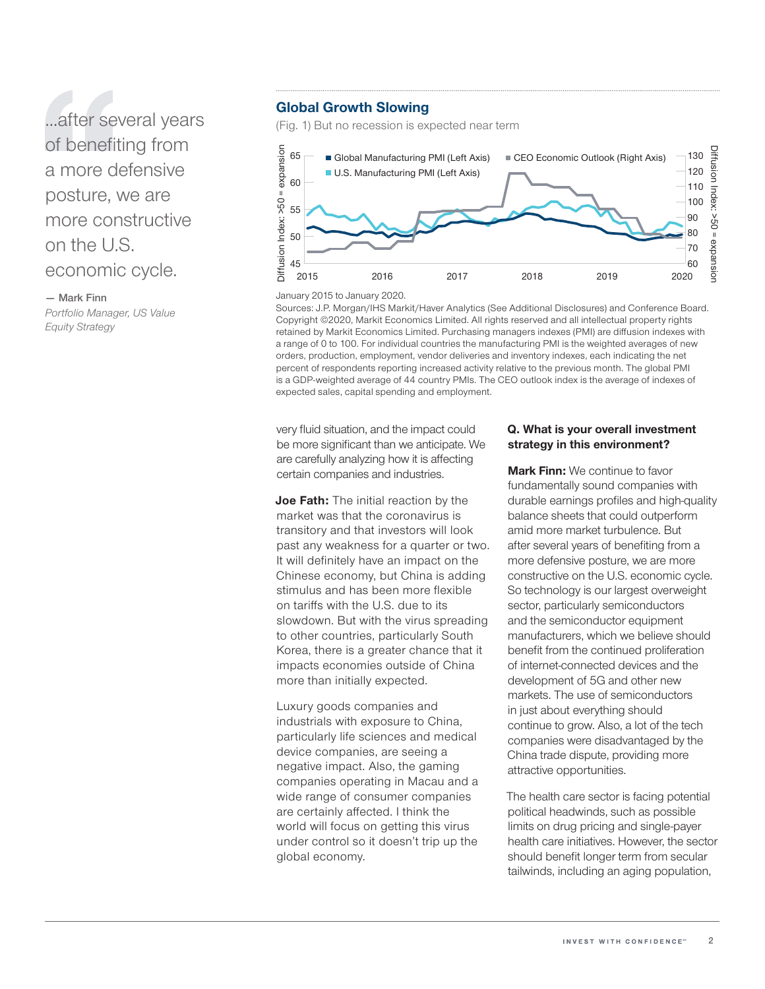...after several years of benefiting from a more defensive posture, we are more constructive on the U.S. economic cycle.

**— Mark Finn**

*Portfolio Manager, US Value Equity Strategy*

#### **Global Growth Slowing**

(Fig. 1) But no recession is expected near term



January 2015 to January 2020.

Sources: J.P. Morgan/IHS Markit/Haver Analytics (See Additional Disclosures) and Conference Board. Copyright ©2020, Markit Economics Limited. All rights reserved and all intellectual property rights retained by Markit Economics Limited. Purchasing managers indexes (PMI) are diffusion indexes with a range of 0 to 100. For individual countries the manufacturing PMI is the weighted averages of new orders, production, employment, vendor deliveries and inventory indexes, each indicating the net percent of respondents reporting increased activity relative to the previous month. The global PMI is a GDP‑weighted average of 44 country PMIs. The CEO outlook index is the average of indexes of expected sales, capital spending and employment.

very fluid situation, and the impact could be more significant than we anticipate. We are carefully analyzing how it is affecting certain companies and industries.

**Joe Fath:** The initial reaction by the market was that the coronavirus is transitory and that investors will look past any weakness for a quarter or two. It will definitely have an impact on the Chinese economy, but China is adding stimulus and has been more flexible on tariffs with the U.S. due to its slowdown. But with the virus spreading to other countries, particularly South Korea, there is a greater chance that it impacts economies outside of China more than initially expected.

Luxury goods companies and industrials with exposure to China, particularly life sciences and medical device companies, are seeing a negative impact. Also, the gaming companies operating in Macau and a wide range of consumer companies are certainly affected. I think the world will focus on getting this virus under control so it doesn't trip up the global economy.

#### **Q. What is your overall investment strategy in this environment?**

**Mark Finn:** We continue to favor fundamentally sound companies with durable earnings profiles and high-quality balance sheets that could outperform amid more market turbulence. But after several years of benefiting from a more defensive posture, we are more constructive on the U.S. economic cycle. So technology is our largest overweight sector, particularly semiconductors and the semiconductor equipment manufacturers, which we believe should benefit from the continued proliferation of internet‑connected devices and the development of 5G and other new markets. The use of semiconductors in just about everything should continue to grow. Also, a lot of the tech companies were disadvantaged by the China trade dispute, providing more attractive opportunities.

The health care sector is facing potential political headwinds, such as possible limits on drug pricing and single‑payer health care initiatives. However, the sector should benefit longer term from secular tailwinds, including an aging population,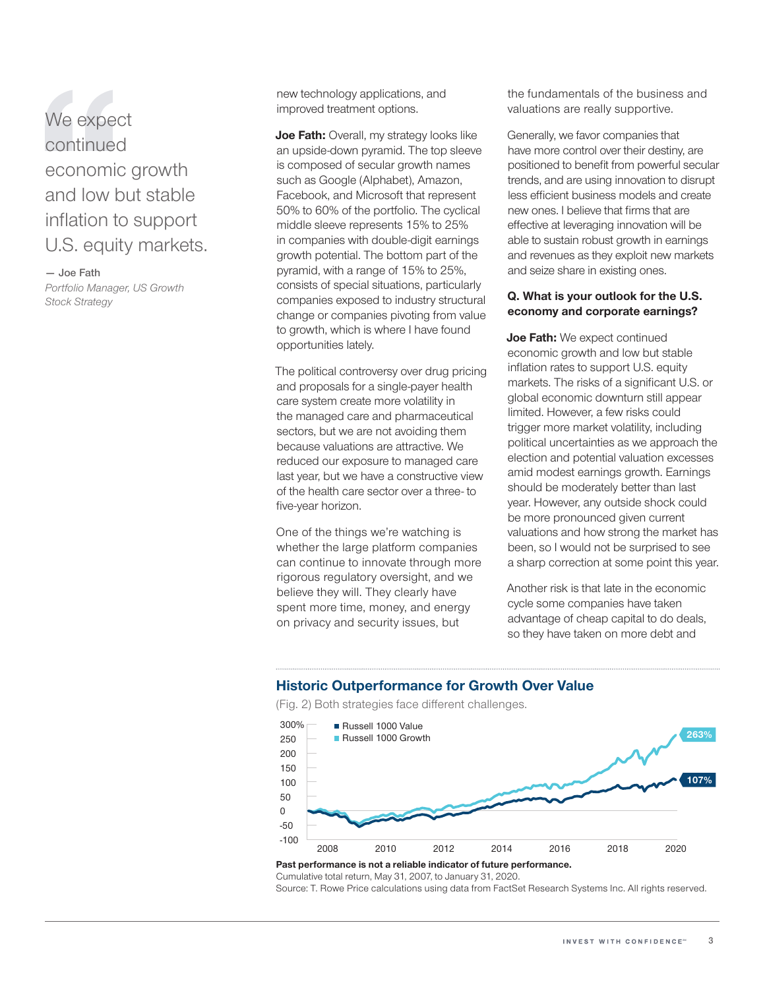We expect continued economic growth and low but stable inflation to support U.S. equity markets.

**— Joe Fath**

*Portfolio Manager, US Growth Stock Strategy*

new technology applications, and improved treatment options.

**Joe Fath:** Overall, my strategy looks like an upside‑down pyramid. The top sleeve is composed of secular growth names such as Google (Alphabet), Amazon, Facebook, and Microsoft that represent 50% to 60% of the portfolio. The cyclical middle sleeve represents 15% to 25% in companies with double‑digit earnings growth potential. The bottom part of the pyramid, with a range of 15% to 25%, consists of special situations, particularly companies exposed to industry structural change or companies pivoting from value to growth, which is where I have found opportunities lately.

The political controversy over drug pricing and proposals for a single‑payer health care system create more volatility in the managed care and pharmaceutical sectors, but we are not avoiding them because valuations are attractive. We reduced our exposure to managed care last year, but we have a constructive view of the health care sector over a three‑ to five‑year horizon.

One of the things we're watching is whether the large platform companies can continue to innovate through more rigorous regulatory oversight, and we believe they will. They clearly have spent more time, money, and energy on privacy and security issues, but

the fundamentals of the business and valuations are really supportive.

Generally, we favor companies that have more control over their destiny, are positioned to benefit from powerful secular trends, and are using innovation to disrupt less efficient business models and create new ones. I believe that firms that are effective at leveraging innovation will be able to sustain robust growth in earnings and revenues as they exploit new markets and seize share in existing ones.

#### **Q. What is your outlook for the U.S. economy and corporate earnings?**

**Joe Fath:** We expect continued economic growth and low but stable inflation rates to support U.S. equity markets. The risks of a significant U.S. or global economic downturn still appear limited. However, a few risks could trigger more market volatility, including political uncertainties as we approach the election and potential valuation excesses amid modest earnings growth. Earnings should be moderately better than last year. However, any outside shock could be more pronounced given current valuations and how strong the market has been, so I would not be surprised to see a sharp correction at some point this year.

Another risk is that late in the economic cycle some companies have taken advantage of cheap capital to do deals, so they have taken on more debt and

#### **Historic Outperformance for Growth Over Value**

(Fig. 2) Both strategies face different challenges.



### Cumulative total return, May 31, 2007, to January 31, 2020.

Source: T. Rowe Price calculations using data from FactSet Research Systems Inc. All rights reserved.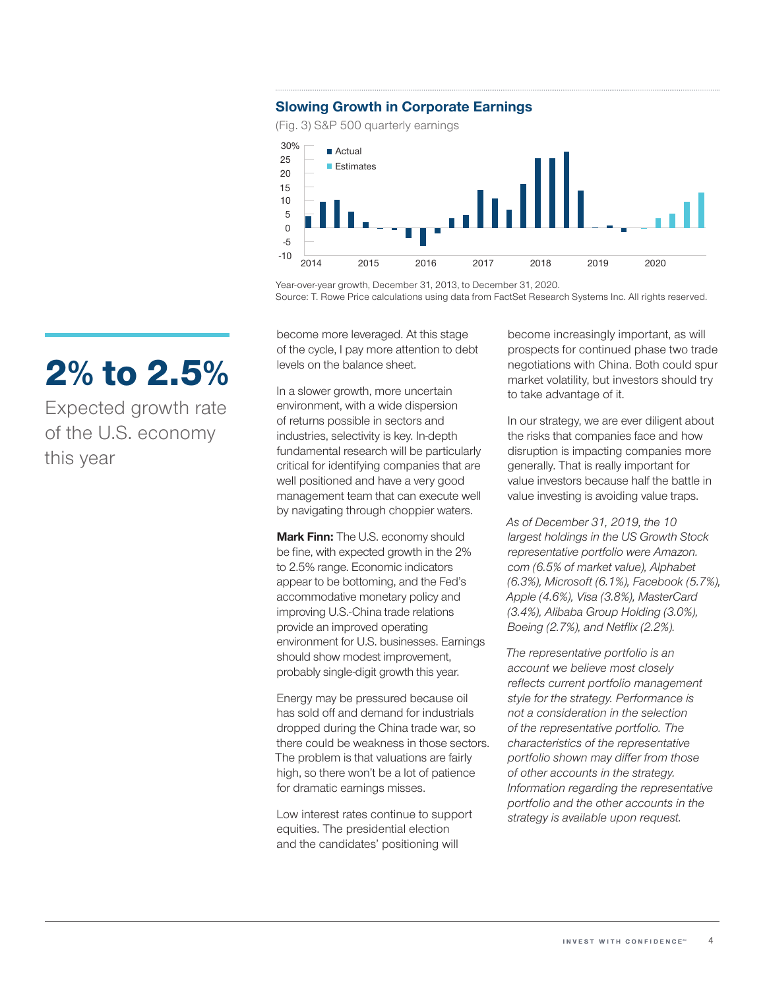### **Slowing Growth in Corporate Earnings**

(Fig. 3) S&P 500 quarterly earnings



Year-over-year growth, December 31, 2013, to December 31, 2020. Source: T. Rowe Price calculations using data from FactSet Research Systems Inc. All rights reserved.

become more leveraged. At this stage of the cycle, I pay more attention to debt levels on the balance sheet.

In a slower growth, more uncertain environment, with a wide dispersion of returns possible in sectors and industries, selectivity is key. In‑depth fundamental research will be particularly critical for identifying companies that are well positioned and have a very good management team that can execute well by navigating through choppier waters.

**Mark Finn:** The U.S. economy should be fine, with expected growth in the 2% to 2.5% range. Economic indicators appear to be bottoming, and the Fed's accommodative monetary policy and improving U.S.‑China trade relations provide an improved operating environment for U.S. businesses. Earnings should show modest improvement, probably single‑digit growth this year.

Energy may be pressured because oil has sold off and demand for industrials dropped during the China trade war, so there could be weakness in those sectors. The problem is that valuations are fairly high, so there won't be a lot of patience for dramatic earnings misses.

Low interest rates continue to support equities. The presidential election and the candidates' positioning will

become increasingly important, as will prospects for continued phase two trade negotiations with China. Both could spur market volatility, but investors should try to take advantage of it.

In our strategy, we are ever diligent about the risks that companies face and how disruption is impacting companies more generally. That is really important for value investors because half the battle in value investing is avoiding value traps.

*As of December 31, 2019, the 10 largest holdings in the US Growth Stock representative portfolio were Amazon. com (6.5% of market value), Alphabet (6.3%), Microsoft (6.1%), Facebook (5.7%), Apple (4.6%), Visa (3.8%), MasterCard (3.4%), Alibaba Group Holding (3.0%), Boeing (2.7%), and Netflix (2.2%).*

*The representative portfolio is an account we believe most closely reflects current portfolio management style for the strategy. Performance is not a consideration in the selection of the representative portfolio. The characteristics of the representative portfolio shown may differ from those of other accounts in the strategy. Information regarding the representative portfolio and the other accounts in the strategy is available upon request.*

# 2% to 2.5%

Expected growth rate of the U.S. economy this year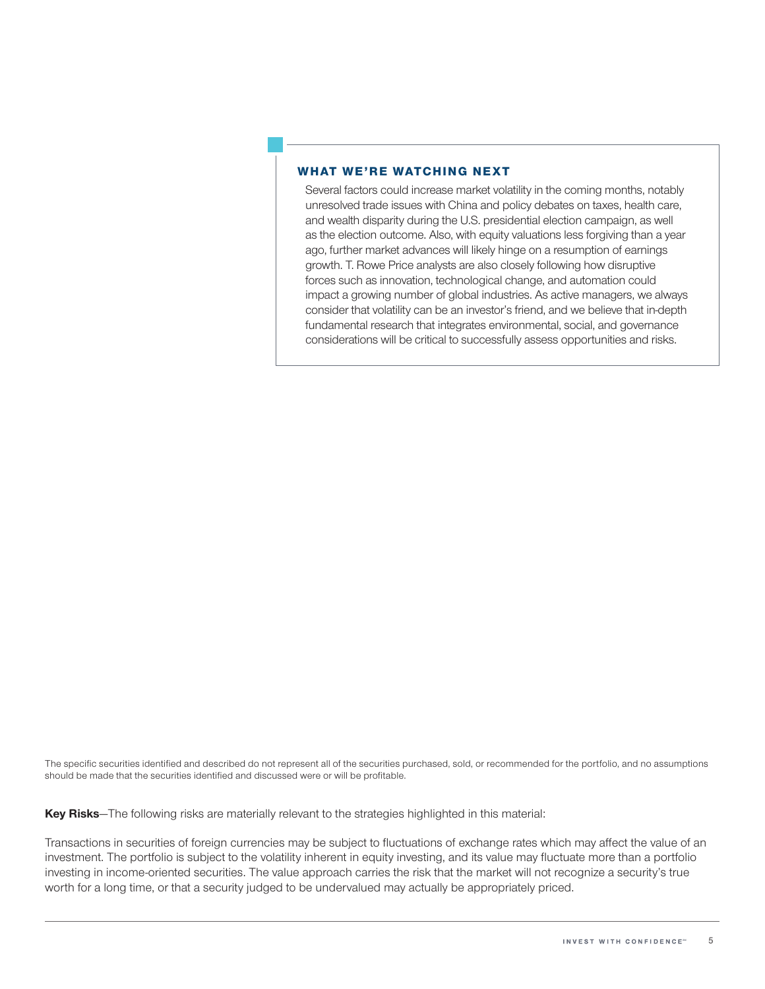#### WHAT WE'RE WATCHING NEXT

Several factors could increase market volatility in the coming months, notably unresolved trade issues with China and policy debates on taxes, health care, and wealth disparity during the U.S. presidential election campaign, as well as the election outcome. Also, with equity valuations less forgiving than a year ago, further market advances will likely hinge on a resumption of earnings growth. T. Rowe Price analysts are also closely following how disruptive forces such as innovation, technological change, and automation could impact a growing number of global industries. As active managers, we always consider that volatility can be an investor's friend, and we believe that in‑depth fundamental research that integrates environmental, social, and governance considerations will be critical to successfully assess opportunities and risks.

The specific securities identified and described do not represent all of the securities purchased, sold, or recommended for the portfolio, and no assumptions should be made that the securities identified and discussed were or will be profitable.

**Key Risks**—The following risks are materially relevant to the strategies highlighted in this material:

Transactions in securities of foreign currencies may be subject to fluctuations of exchange rates which may affect the value of an investment. The portfolio is subject to the volatility inherent in equity investing, and its value may fluctuate more than a portfolio investing in income-oriented securities. The value approach carries the risk that the market will not recognize a security's true worth for a long time, or that a security judged to be undervalued may actually be appropriately priced.